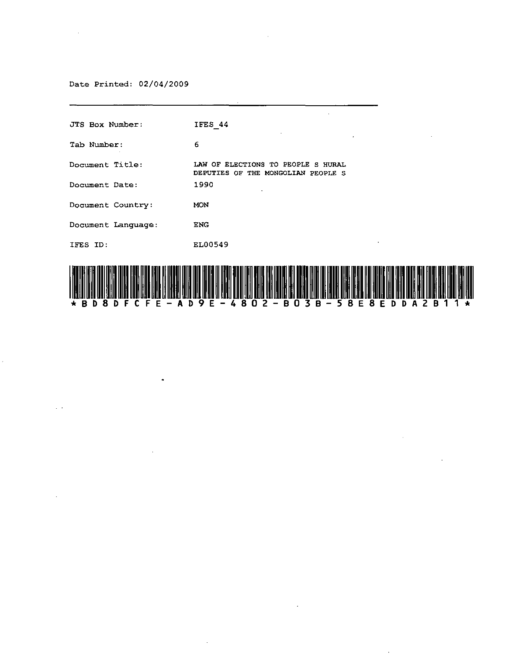# Date Printed: 02/04/2009

 $\bullet$ 

| <b>JTS Box Number:</b> | IFES 44                                                                                                                                                                                                                        |
|------------------------|--------------------------------------------------------------------------------------------------------------------------------------------------------------------------------------------------------------------------------|
| Tab Number:            | 6                                                                                                                                                                                                                              |
| Document Title:        | LAW OF ELECTIONS TO PEOPLE S HURAL<br>DEPUTIES OF THE MONGOLIAN PEOPLE S                                                                                                                                                       |
| Document Date:         | 1990                                                                                                                                                                                                                           |
| Document Country:      | MON                                                                                                                                                                                                                            |
| Document Language:     | <b>ENG</b>                                                                                                                                                                                                                     |
| IFES ID:               | EL00549                                                                                                                                                                                                                        |
|                        | i iyang unu tang tika diki dikil ditakhirang dalawan dan salam dan makilisi dika dina makil dakan banggan sang dan makilisi manggan dan makilisi manggan dan makilisi manggan dan makilisi manggan manggan manggan manggan man |



 $\overline{\phantom{a}}$ 

 $\cdot$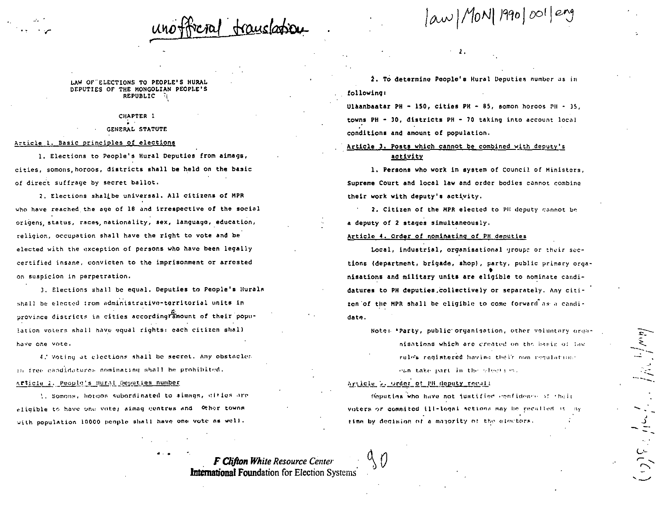law/MON| 1990/001/eng

LAW OF ELECTIONS TO PEOPLE'S HURAL DEPUTIES OF THE MONGOLIAN PEOPLE'S REPUBLIC

> CHAPTER 1 GENERAL STATUTE

## Article 1. Basic principles of elections

1. Elections to People's Hural Deputies from aimags, cities, somons, horoos, districts shall be held on the basic of direct suffrage by secret ballot.

2. Elections shallbe universal. All citizens of MPR who have reached the age of 18 and irrespective of the social origens, status, races, nationality, sex, language, education, religion, occupation shall have the right to vote and be elected with the exception of persons who have been legally certified insane, convicten to the imprisonment or arrested on suspicion in perpetration.

3. Elections shall be equal. Deputies to People's Hurals shall be elected from administrative-territorial units in province districts in cities according amount of their population voters shall have equal rights: each citizen shall have one vote.

4. Voting at elections shall be secret. Any obstacles in free candidatures nominating shall be prohibited.

## Article 2. People's Hural Deputies number

1. Somons, horoos subordinated to almags, diffes are eligible to have one vote; aimag centres and Other towns with population 10000 people shall have one vote as well.

2. To determine People's Hural Deputies number as in following:

Ulàanbaatar PH - 150, cities PH - 85, somon horoos PH - 35, towns PH - 30, districts PH - 70 taking into account local conditions and amount of population.

# Article 3. Posts which cannot be combined with deputy's activity

1. Persons who work in system of Council of Ministers, Supreme Court and local law and order bodies cannot combine their work with deputy's activity.

2. Citizen of the MPR elected to PH deputy cannot be a deputy of 2 stages simultaneously.

## Article 4. Order of nominating of PH deputies

Local, industrial, organisational groups or their sections (department, brigade, shop), party, public primary organisations and military units are eligible to nominate candidatures to PH deputies.collectively or separately. Any citizen of the MPR shall be cligible to come forward as a candidate.

Note: "Party, public organisation, other voluntary organisations which are created on the basis of the rules redistered having their own regulations

can take part in the election.

## Article 5. Order of EB deputy recall

Deputies who have not justified confidence of their voters or commited ill-logal actions may be recalled it my time by decision of a majority of the electors.

**F Clifton White Resource Center International Foundation for Election Systems**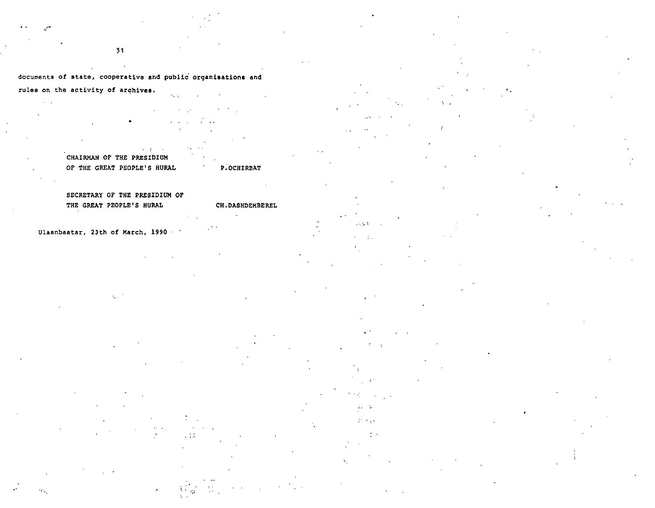'1

# documents of state, cooperative and public organisations and

rules on the activity of archives.

 $\sim 10$ •  $\rightarrow$ 

**CHAIRMAN OF THE PRESIDIUM OF THE GREAT PEOPLE'S HURAL** 

# SECRETARY OF THE PRESIDIUM OF **THE GREAT PEOPLE'S HURAL**

**Ulaanbaatar, 23th of March, 1990** 

 $\mathcal{L}_{\mathbf{r}}$  .

P.OCHIRBAT

CH.DASHDEMBEREL

 $\mathcal{V}(\mathcal{C})$ ÷.  $\mathcal{L}^{\text{max}}$  .

 $\sim 0.5$ 

 $\geq$  .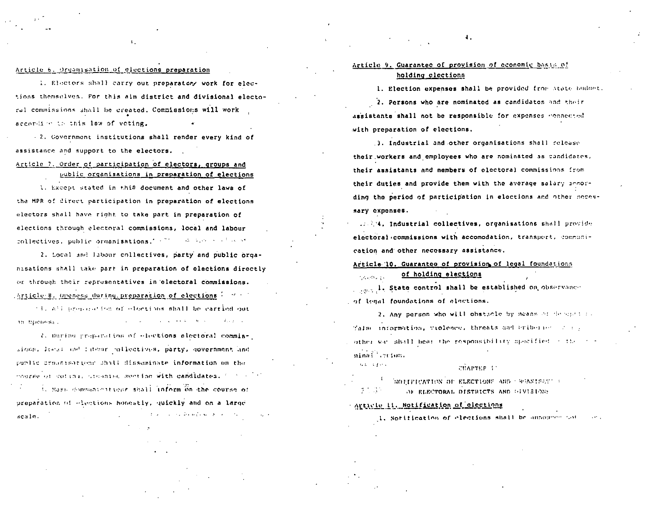## Article 6. Organisation of elections preparation

1. Electors shall carry out preparatory work for elections themselves. For this aim district and divisional electoral commissions shall be created. Commissions will work according to this law of veting.

- 2. Government institutions shall render every kind of assistance and support to the electors.

Article 7. Order of participation of electors, groups and public organisations in preparation of elections

1. Except stated in this document and other laws of the MPR of direct participation in preparation of elections electors shall have right to take part in preparation of elections through electoral commissions, local and labour collectives, public organisations." (2000) we have a state

2. Local and labour collectives, party and public organisations shall take part in preparation of elections directly or through their representatives in electoral commissions. Article 8. Openess during preparation of elections ( man )

(1) All proposed tom of olections shall be carried out the company of the second service of the second second services. in bueness.

2. During preparation of elections electoral commissions, least and labour collectives, party, government and public croanisations shall disseminate information on the course of voting, creanise senting with candidates, for a 1. Mass domestate it tone shall inform on the course of preparation of elections honostly, quickly and on a large الموارد المتناق المتحولة والمتحدث والتناولات scale.

# Article 9. Guarantee of provision of economic basis of holding elections

 $\ddotsc$ 

1. Election expenses shall be provided from state budget.

2. Persons who are nominated as candidates and their assistants shall not be responsible for expenses connected with preparation of elections.

3. Industrial and other organisations shall release their workers and employees who are nominated as candidates, their assistants and members of electoral commissions from their duties and provide them with the average salary innording the period of participation in elections and other necessary expenses.

11. AM. Industrial collectives, organisations shall provide electoral commissions with accomodation, transport, communication and other necessary assistance.

Article 10. Guarantee of provision of legal foundations of holding elections

. . ... I. State control shall be established on observance of legal foundations of elections.

2. Any person who will obstacle by means of describing Talse information, violence, threats and briberies of a p ather was shall bear the responsibility specified in the conminal creion. 62.3993

**CHAPTER I** 

NOTIFICATION OF ELECTIONS AND CREANISAST :  $\mathcal{F}^{\text{max}}_{\text{max}}$ OF ELECTORAL DISTRICTS AND GIVISIONS

Article 11. Notification of elections

**Construction** 

1. Notification of clections shall be announce not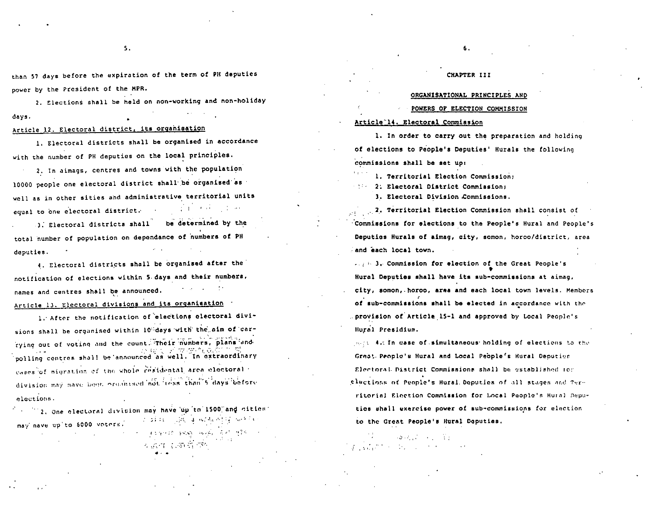than 57 days before the expiration of the term of PH deputies power by the President of the MPR.

2. Elections shall be held on non-working and non-holiday davs.

## Article 12. Electoral district, its organisation

1. Electoral districts shall be organised in accordance with the number of PH deputies on the local principles.

2. In aimags, centres and towns with the population 10000 people one electoral district shall be organised as well as in other sities and administrative territorial units and the state of the state equal to one electoral district.

be determined by the 3. Electoral districts shall total number of population on dependance of numbers of PH deputies.

4. Electoral districts shall be organised after the notification of elections within 5 days and their numbers, names and centres shall be announced. Article 13. Electoral divisions and its organisation

1. After the notification of elections electoral divisions shall be organised within 10%days with the aim of carrying out of voting and the count. Their numbers, plans and polling centres shall be announced as well. In extraordinary cases of migration of the whole residental area electoral division may have been organised not loss than 5 days before elections.

2. One clectoral division may have up to 1500 and cities: of addition of the case of the complete service may nave up to 6000 voters. TESTING SICKY HOUSE THINK TEST

分成了 新羅羅 带

## CHAPTER III

6.

## ORGANISATIONAL PRINCIPLES AND

## POWERS OF ELECTION COMMISSION

## Article<sup>-14</sup>. Electoral Commission

1. In order to carry out the preparation and holding of elections to People's Deputies' Hurals the following commissions shall be set up:

1. Territorial Election Commission:

1888 2. Electoral District Commission:

3. Electoral Division Commissions.

2. Territorial Election Commission shall consist of Commissions for elections to the People's Hural and People's Deputies Hurals of aimag, city, somon, horoo/district, area and each local town.

2. 23. Commission for election of the Great People's Hural Deputies shall have its sub-commissions at aimag, city, somon, horoo, area and each local town levels. Members of sub-commissions shall be elected in accordance with the provision of Article 15-1 and approved by Local People's Hural Presidium.

mest As In case of simultaneous holding of elections to the Great People's Hural and Local People's Hural Deputies Electoral District Commissions shall be established for elections of People's Hural Deputies of all stages and Territorial Election Commission for Local People's Hural Deputies shall exercise power of sub-commissions for election to the Great People's Hural Deputies.

 $\mathcal{L}(\mathcal{L}(\mathcal{L}(\mathcal{L}(\mathcal{L}(\mathcal{L}(\mathcal{L}(\mathcal{L}(\mathcal{L}(\mathcal{L}(\mathcal{L}(\mathcal{L}(\mathcal{L}(\mathcal{L}(\mathcal{L}(\mathcal{L}(\mathcal{L}(\mathcal{L}(\mathcal{L}(\mathcal{L}(\mathcal{L}(\mathcal{L}(\mathcal{L}(\mathcal{L}(\mathcal{L}(\mathcal{L}(\mathcal{L}(\mathcal{L}(\mathcal{L}(\mathcal{L}(\mathcal{L}(\mathcal{L}(\mathcal{L}(\mathcal{L}(\mathcal{L}(\mathcal{L}(\mathcal{$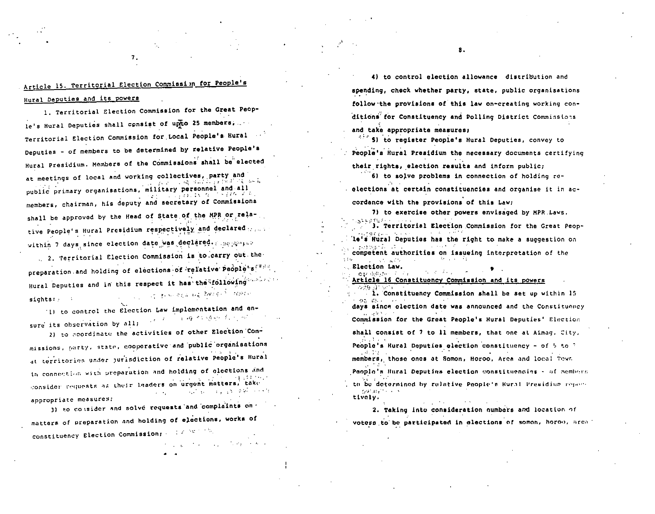# Article 15. Territorial Election Commission for People's

7.

Hural Deputies and its powers

1. Territorial Election Commission for the Great People's Hural Deputies shall consist of upto 25 members, Territorial Election Commission for Local People's Hural Deputies - of members to be determined by relative People's Hural Presidium. Members of the Commissions shall be elected at meetings of local and working collectives, party and We have a substantial of the public primary organisations, military personnel and all しょうほん いな こうねんそん members, chairman, his deputy and secretary of Commissions shall be approved by the Head of State of the MPR or relative People's Hural Presidium respectively and declared .... within 7 days since election date was declared. Separate

2. Territorial Election Commission is to carry out the preparation and holding of elections of relative People's Hural Deputies and in this respect it has the following The complete with the Brand of the theory sights:

'1) to control the Election Law implementation and en-**Carlo Respondence**  $\gamma_{\rm eff} = 2$  . sure its observation by all:

2) to coordinate the activities of other Election Commissions, party, state, cooperative and public organisations at territories under purisdiction of relative People's Hural in connection with preparation and holding of elections and consider requests as their leaders on urgent matters, take فأحجب موقاته والمراوي المواردة  $\mathcal{L} \rightarrow \mathcal{L}$ appropriate measures:

3) to consider and solve requests and complaints on matters of preparation and holding of elections, works of constituency Election Commission;  $\mathbb{R}^2 \times \mathbb{R}^{n_1 \times n_2}$ **Contract**  $\sim 100$ 

4) to control election allowance distribution and spending, check whether party, state, public organisations follow the provisions of this law on-creating working conditions for Constituency and Polling District Commissions and take appropriate measures:

5) to register People's Hural Deputies, convey to People's Hural Presidium the necessary documents certifying their rights, election results and inform public;

6) to solve problems in connection of holding reelections at certain constituencies and organise it in accordance with the provisions of this Law:

7) to exercise other powers envisaged by MPR Laws. 3. Territorial Election Commission for the Great People's Hural Deputies has the right to make a suggestion on and a state of the competent authorities on issueing interpretation of the  $\sim 10^{11}$  and  $\sim 10^{11}$ 

Election Law. www.dubbase.com

Article 16 Constituency Commission and its powers

standard and starting 1. Constituency Commission shall be set up within 15 うた 逆し ここい days since olection date was announced and the Constituency Commission for the Great People's Hural Deputies' Election shall consist of 7 to 11 members, that one at Aimag. City. People's Hural Deputies election constituency - of 5 to 7 members, those ones at Somon, Horoo, Area and local Town

People's Hural Deputies election constituencies - of members to be determined by relative People's Hural Presidium report-

Graduate College tively.

2. Taking into consideration numbers and location of

voters to be participated in elections of somon, horoo, area:

8.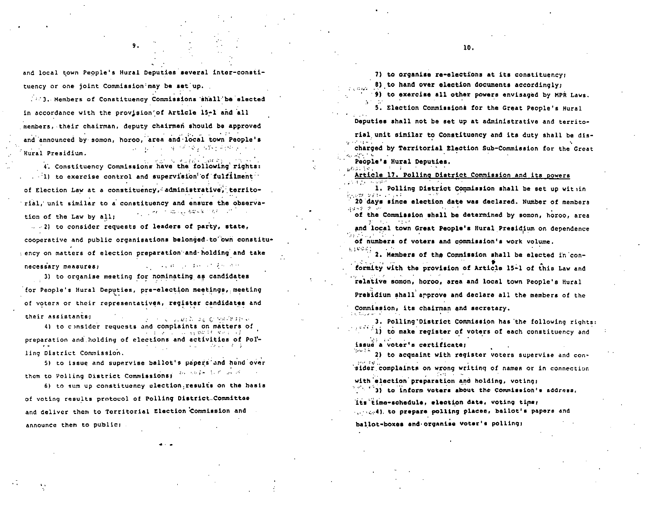and local town People's Hural Deputies several inter-constituency or one joint Commission may be set up.

9.

. 3. Members of Constituency Commissions shall be elected in accordance with the provision' of Article 15-1 and all members, their chairman, deputy chairmen should be approved and announced by somon, horoo, area and local town People's 医水杨酸 化硫化磷酸 化苯甲基苯甲基甲基苯甲基  $\sim$   $\sim$ Hural Presidium.

4. Constituency Commissions have the following rights: ...1) to exercise control and supervision of fulfilment of Election Law at a constituency, administrative, territorial, unit similar to a constituency and ensure the observa-್ತು ಪ್ರಸಾರ್ ಮುಖ್ಯ ಹಿರುತ್ತಿರುವುದು ಬಿಬಿ tion of the Law by all:

...2) to consider requests of leaders of party, state, cooperative and public organisations belonged to own constituency on matters of election preparation and holding and take provided a series of the series of the necessary measures:

3) to organise meeting for nominating as candidates for People's Hural Deputies, pre-election meetings, meeting of voters or their representatives, register candidates and their assistants; 医水平 人名英格兰 非正式的解雇法执行

4) to consider requests and complaints on matters of  $\mathcal{L} = \{ \mathcal{L} \in \mathcal{L} \mid \mathcal{L} \in \mathcal{L} \} \cup \{ \mathcal{L} \in \mathcal{L} \} \cup \{ \mathcal{L} \in \mathcal{L} \mid \mathcal{L} \in \mathcal{L} \mid \mathcal{L} \neq \emptyset \}$ preparation and holding of elections and activities of Polling District Commission.

5) to issue and supervise ballot's papers and hand over them to Polling District Commissions: 20 0000 107 2000

6) to sum up constituency election results on the hasis of voting results protocol of Polling District.Committee and deliver them to Territorial Election Commission and announce them to public;

7) to organise re-elections at its constituency;

8) to hand over election documents accordingly;

9) to exercise all other powers envisaged by MPR Laws. 5. Election Commissions for the Great People's Hural

Deputies shall not be set up at administrative and territo-

rial unit similar to Constituency and its duty shall be discharged by Territorial Election Sub-Commission for the Great

People's Hural Deputies.

Article 17. Polling District Commission and its powers

1. Polling District Commission shall be set up within em estas el

20 days since election date was declared. Number of members  $\pm 1.82\cdot 10^{-7}$ of the Commission shall be determined by somon, horoo, area

and local town Great People's Hural Presidium on dependence

of numbers of voters and commission's work volume.

2. Members of the Commission shall be elected in conformity with the provision of Article 15-1 of this Law and relative somon, horoo, area and local town People's Hural Presidium shall approve and declare all the members of the Commission, its chairman and secretary. **COLLANS** 

3. Polling District Commission has the following rights: 1) to make register of voters of each constituency and issue a voter's certificate:

2) to acquaint with register voters supervise and consider complaints on wrong writing of names or in connection with election preparation and holding, voting;

1) to inform voters about the Commission's address,

its time-schedule, election date, voting time; 

ballot-boxes and organise voter's polling;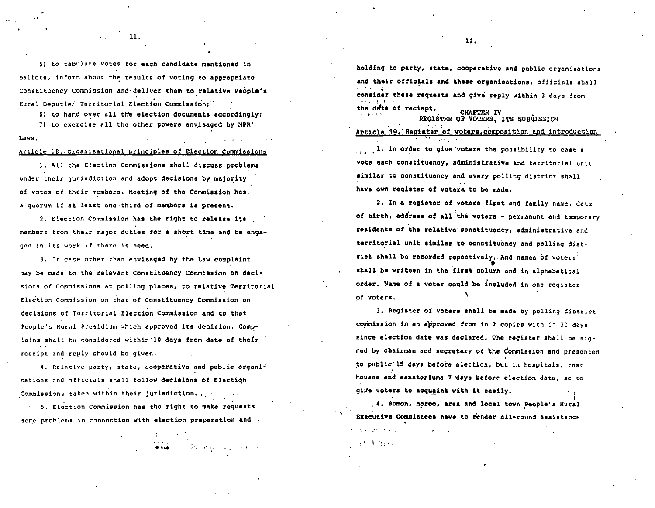5) to tabulate votes for each candidate mentioned in ballots, inform about the results of voting to appropriate Constituency Commission and deliver them to relative People's Hural Deputie: Territorial Election Commission:

 $\mathbf{u}$ 

6) to hand over all the election documents accordingly;

7) to exercise all the other powers envisaged by MPR' Laws.

## Article 18. Organisational principles of Election Commissions

1. All the Election Commissions shall discuss problems under their jurisdiction and adopt decisions by majority of votes of their members. Meeting of the Commission has a quorum if at least one third of members is present.

2. Election Commission has the right to release its members from their major duties for a short time and be engaged in its work if there is need.

3. In case other than envisaged by the Law complaint may be made to the relevant Constituency. Commission on decisions of Commissions at polling places, to relative Territorial Election Commission on that of Constituency Commission on decisions of Territorial Election Commission and to that People's Hural Presidium which approved its decision. Complains shall be considered within'10 days from date of their receipt and reply should be given.

4. Relative party, state, cooperative and public organisations and officials shall follow decisions of Election Commissions taken within their jurisdiction.

5. Election Commission has the right to make requests some problems in connection with election preparation and .

 $\mathcal{L}^{\mathcal{L}}$  , where  $\mathcal{L}^{\mathcal{L}}$  is the contract of the  $\mathcal{L}^{\mathcal{L}}$ 

holding to party, state, cooperative and public organisations and their officials and these organisations, officials shall consider these requests and give reply within 3 days from the date of reciept. **CHAPTEN IV** REGISTER OF VOTERS, ITS SUBMISSION

Article 19. Register of voters. composition and introduction

1. In order to give voters the possibility to cast a vote each constituency, administrative and territorial unit similar to constituency and every polling district shall have own register of voters to be made.

2. In a register of voters first and family name, date of birth, address of all the voters - permanent and temporary residents of the relative constituency, administrative and territorial unit similar to constituency and polling district shall be recorded repectively. And names of voters! shall be writeen in the first column and in alphabetical order. Name of a voter could be included in one register of voters.

3. Register of voters shall be made by polling district commission in an approved from in 2 copies with in 30 days since election date was declared. The register shall be signed by chairman and secretary of the Commission and presented to public 15 days before election, but in hospitals, rest houses and sanatoriums 7 days before election date, so to give voters to acquaint with it easily.

.4. Somon, horoo, area and local town People's Hural Executive Committees have to render all-round assistance

المتعارض والمواردة فالمراجع  $\mathcal{A}=\mathcal{A}$  ,  $\mathcal{A}=\mathcal{A}$  ,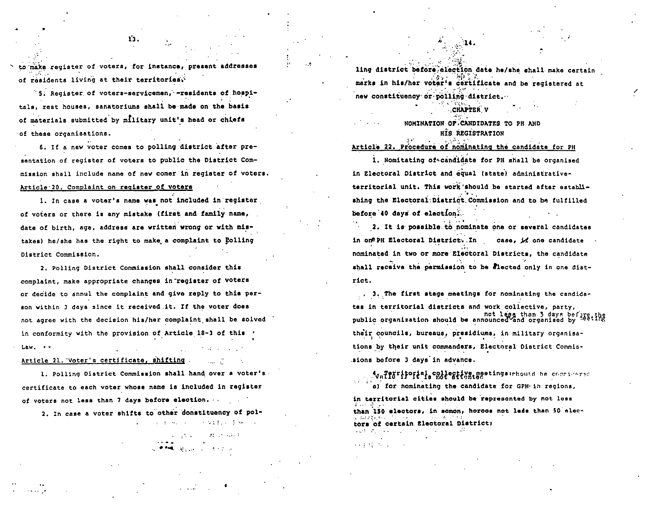to make register of voters, for instance, present addresses of residents living at their territories.

5. Reqister of voters-servicemen, -residents of hospitals, rest houses, sanatoriums shall be made on the basis of materials submitted by military unit's head or chiefs of these organisations.

6. If a new voter comes to polling district after presentation of register of voters to public the District Commission shall include name of new comer in register of voters. Article 20. Complaint on register of voters

1. In case a voter's name was not included in register of voters or there is any mistake (first and family name, date of birth, age, address are written wrong or with mistakes) he/she has the right to make a complaint to Colling District Commission.

2. Polling District Commission shall consider this complaint, make appropriate changes in register of voters or decide to annul the complaint and give reply to this person within 3 days since it received it. If the voter does not agree with the decision his/her complaint shall be solved in conformity with the provision of Article 18-3 of this Law. Article 21. Voter's certificate, shifting and T

1. Polling District Commission shall hand over a voter's certificate to each voter whose name is included in register of voters not less than 7 days before election.

2. In case a voter shifts to other donstituency of pol-

 $\Delta \sim 0.000$  and  $\Delta \sim 0.000$ **Contract Form Code** 

> **State State State COMMERCIAL CONTRACTOR**

ling district before election date he/she shall make certain marks in his/her voter's certificate and be registered at new constituency or polling district.

## **CHAPTER V**

NOMINATION OF CANDIDATES TO PH AND HIS REGISTRATION

# Article 22. Procedure of nominating the candidate for PH

1. Nomitating of candidate for PH shall be organised in Electoral District and equal (state) administrativeterritorial unit. This work should be started after establishing the Electoral District Commission and to be fulfilled before 40 days of election.

2. It is possible to nominate one or several candidates in one PH Electoral District. In case, if one candidate nominated in two or more Electoral Districts, the candidate shall receive the permission to be alected only in one district.

3. The first stage meetings for nominating the candidates in territorial districts and work collective, party, not less than 3 days before the public organization should be announced and organised by <sup>neeting</sup> their councils, bureaus, presidiums, in military organisations by their unit commanders, Electoral District Commissions before 3 days in advance.

AvaTeFritorial collegtive meetings:rhould be considered al for nominating the candidate for GPH-in regions.

in territorial cities should be represented by not less than 150 electors, in somon, horoos not leds than 50 electors of certain Electoral District; 经经济 经

13.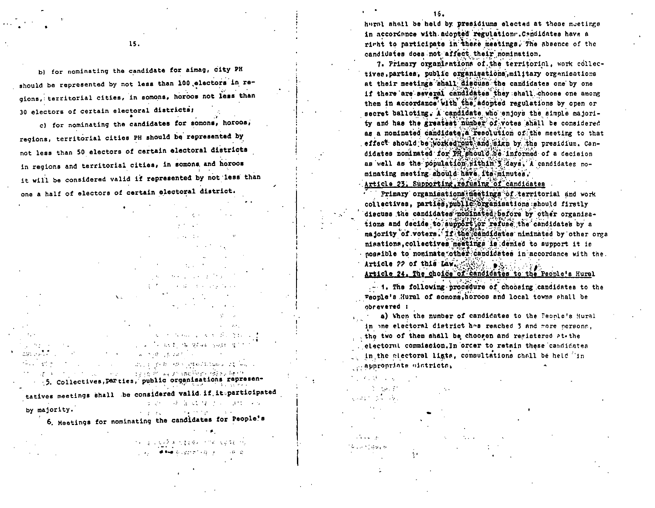b) for nominating the candidate for aimag, city PH should be represented by not less than 100 electors in regions, territorial cities, in somons, horoos not less than 30 electors of certain electoral districts;

15.

c) for nominating the candidates for somons, horoos, regions, territorial cities PH should be represented by not less than 50 electors of certain electoral districts in regions and territorial cities, in somons and horoos it will be considered valid if represented by not less than one a half of electors of certain electoral district.

 $1.32 - 1.4$ send the context faces

and the property of the state of the state of The Control of Market Swith 47 Control of Sales **CONTRACTOR** CONTRACT AND CONTRACTOR  $\sim$  10 kg  $\dot{\sigma}$  , we are specified in the subset of **Service** 

.5. Collectives, parties, public organisations representatives meetings shall be considered valid if it participated エンジス というこう はいしゃ by majority. and the first contract of  $\sigma = 2 \times 2 \in \mathbb{N}$ 

6. Meetings for nominating the candidates for People's

 $\mathcal{F}(\mathbf{y}) = \mathcal{G}(\mathbf{y}) + \mathcal{G}(\mathbf{z}) \mathcal{F}(\mathbf{z}) + \mathcal{F}(\mathbf{z}) \mathcal{F}(\mathbf{z}) = \mathcal{F}(\mathbf{y}) + \mathcal{F}(\mathbf{z}) \mathcal{F}(\mathbf{z}) + \mathcal{F}(\mathbf{z})$ practice of the Business Copy of the Indian

 $15.$ 

haral shall be held by presidiums elected at these meetings in accordance with adopted regulations. Candidates have a right to participate in there meetings. The absence of the candidates does not affect their nomination.

7. Primary organizations of the territorial, work collectives.parties, public organisations, military organisations at their meetings shall discuss the candidates one by one if there are several candidates they shall choose one among them in accordance with the adopted regulations by open or secret balloting. A candidate who enjoys the simple majority and has the greatest number of votes shall be considered as a nominated candidate, a resolution of the meeting to that effect should be worked out and sign by the presidium, Candidates nominated for PH should be informed of a decision as well as the population rithin's days. A candidates nominating meeting should have its minutes. Article 23. Supporting, refusing of candidates

Primary organisations meetings of territorial and work collectives, parties, public organisations should firstly discuss the candidates nominated before by other organisations and decide to aupport or refuse the candidates by a majority of voters. If the candidates niminated by other orga nisations, collectives meatings is denied to support it is nosaible to nominate other candidates in accordance with the. Article 22 of this Law. Article 24. The choice of candidates to the People's Hural

- 1. The following procedure of choosing candidates to the Feople's Hural of somons, horoos and local towns shall be obravered :

a) When the number of candidates to the Peonle's Hural in one electoral district has reached 3 and more persons, the two of them shall be chooren and registered at the . electorul commission. In order to retain these candidates in the electoral ligts, consultations shall be held in poppropriate aintrictal

 $\mathcal{L}^{\mathcal{L}}(\mathcal{L}^{\mathcal{L}}(\mathcal{L}^{\mathcal{L}}(\mathcal{L}^{\mathcal{L}}(\mathcal{L}^{\mathcal{L}}(\mathcal{L}^{\mathcal{L}}(\mathcal{L}^{\mathcal{L}}(\mathcal{L}^{\mathcal{L}}(\mathcal{L}^{\mathcal{L}}(\mathcal{L}^{\mathcal{L}}(\mathcal{L}^{\mathcal{L}}(\mathcal{L}^{\mathcal{L}}(\mathcal{L}^{\mathcal{L}}(\mathcal{L}^{\mathcal{L}}(\mathcal{L}^{\mathcal{L}}(\mathcal{L}^{\mathcal{L}}(\mathcal{L}^{\mathcal{L$  $\mathcal{L} = \{ \mathcal{L}_1, \mathcal{L}_2 \}$ ولأباط والمتعارف Charles Car

 $4.1 - 1.03$  and  $-1.0$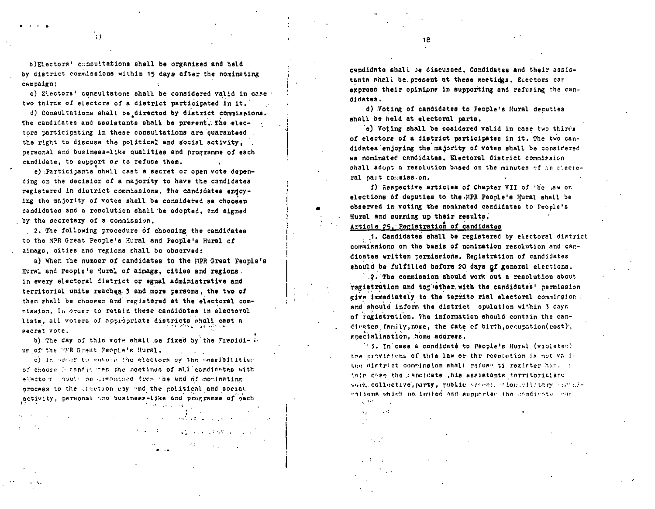b)Electors' consultations shall be organized and held by district commissions within 15 days after the nominating campaign;

c) Electors' consultatons shall be considered valid in case two thirds of electors of a district participated in it.

d) Consultations shall be directed by district commissions. The candidates and assistants shall be prerent. The electore participating in these consultations are quaranteed the right to discuss the political and social activity, personal and business-like qualities and programme of each candidate, to support or to refuse them.

e) Participants shall cast a secret or open vote depending on the decision of a majority to have the candidates registered in district commissions. The candidates endoying the majority of votes shall be considered as choosen candidates and a resolution shall be adopted, and signed by the secretary of a commission.

2. The following procedure of choosing the candidates to the MPR Great People's Hural and People's Hural of aimags, cities and regions shall be observed:

a) When the number of candidates to the HPR Great Feople's Hural and People's Hural of aimags, cities and regions in every electoral district or egual administrative and territorial units reaches. 3 and more persons, the two of them shall be choosen and registered at the electoral commission. In order to retain these candidates in electoral lists, all voters of appropriate districts shall cast a 医发血 化异苯丙氧医异丙 secret vote.

b) The day of this vote shall on fixed by the Freeidi- : um of the FFR Great People's Hural.

c) In prear to ensure the electors by the cossibilitien of choose i cancivites the mectinus of all condidates with elector noul- be creditied from the end of monimating process to the glaction cay and the political and social activity, personal and business-like and programme of each

かいようしょう

 $\sim 1$ 

 $\{355,542,550,500,500,500\}$ 

 $\label{eq:2.1} \mathcal{L}_{\mathcal{A}}^{\mathcal{A}}(\mathcal{A}_{\mathcal{A}}) = \mathcal{L}_{\mathcal{A}}^{\mathcal{A}}(\mathcal{A}_{\mathcal{A}}) + \mathcal{L}_{\mathcal{A}}^{\mathcal{A}}(\mathcal{A}_{\mathcal{A}}) = \mathcal{L}_{\mathcal{A}}^{\mathcal{A}}(\mathcal{A}_{\mathcal{A}})$ 

candidate shall be discussed. Candidates and their assistants shall be present at these meetings. Electors can express their opinions in supporting and refusing the candidates.

d) Voting of candidates to Feople's Hural deputies shall be held at electoral parts.

e) Voting shall be cosidered valid in case two thirds of electors of a district participates in it. The two candidates enjoying the majority of votes shall be considered as nominated candidates. Electoral district commission chall adont a resolution based on the minutes of an alectoral sait commission.

f) Respective articles of Chapter VII of the law on elections of deputies to the MPR People's Hural shall be observed in voting the nominated candidates to People's Hural and summing up their results.

Article 25. Registration of candidates

1. Candidates shall be registered by electoral district commissions on the basis of nomination resolution and candicates written permissions. Registration of candidates should be fulfilled before 20 days of general elections.

2. The commission should work out a resolution about registration and toguether with the candidates' permission give immediately to the territo rial electoral commission. and should inform the district opulation within 3 days of registration. The information should contain the candirates family, name, the date of birth, occupation(cost), anecialisation, home address.

''5. In case a candidaté to People's Hural (violates) the provinions of this law or thr resolution is not valid the district comminaton shall refuse ti register him. () this case the cancidate ,his assistants territorialand work, collective, party, public wrw.mi. wion.wilftary worthientions which no insted and aupporter the condicate con

 $\sim 10^8$ уÝ.  $\Delta$   $\pm$ 

 $17$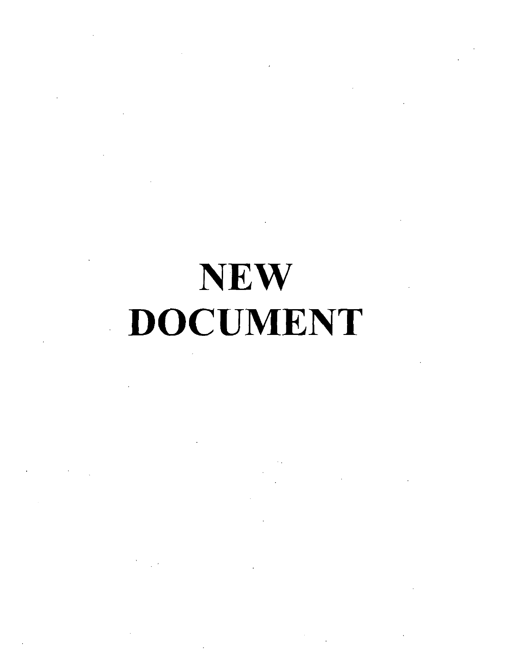# NEW . DOCUMENT

 $\sim$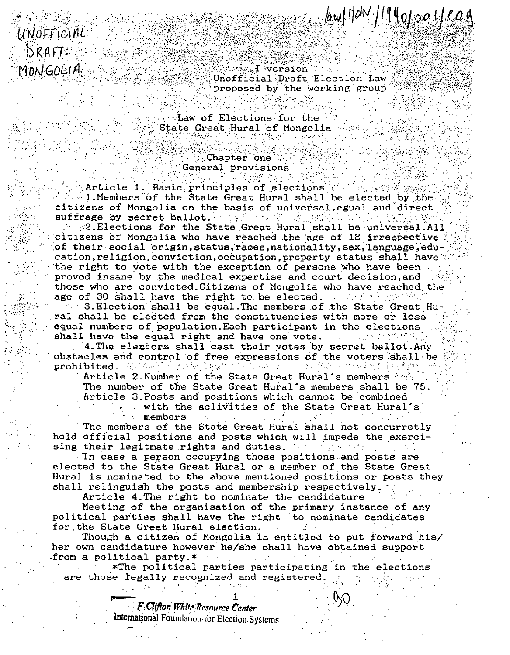**WAI** version Unofficial Draft Election Law proposed by the working group

 $\frac{1}{2}$  /  $\frac{1}{2}$  /  $\frac{1}{2}$  /  $\frac{1}{2}$  /  $\frac{1}{2}$  /  $\frac{1}{2}$  /  $\frac{1}{2}$  /  $\frac{1}{2}$  /  $\frac{1}{2}$  /  $\frac{1}{2}$  /  $\frac{1}{2}$  /  $\frac{1}{2}$  /  $\frac{1}{2}$  /  $\frac{1}{2}$  /  $\frac{1}{2}$  /  $\frac{1}{2}$  /  $\frac{1}{2}$  /  $\frac{1}{2}$  /  $\frac{1$ 

. Law of Elections for the State Great Hural of Mongolia

the station of the company of the

 $\Diamond$ Chapter  $\Diamond$ one General provisions

UNOFFICIAL

**DRAFT** 

MONGOLIA

Article 1. Basic principles of elections of the 1. Members of the State Great Hural shall be elected by the citizens of Mongolia on the basis of universal, egual and direct suffrage by secret ballot. (Selast, editor, Algorithmeter)

 $\sim$   $\sim$  2. Elections for the State Great Hural shall be universal. All citizens of Mongolia who have reached the age of 18 irrespective of their social origin, status, races, nationality, sex, language, education, religion, conviction, occupation, property status shall have the right to vote with the exception of persons who have been proved insane by the medical expertise and court decision, and those who are convicted. Citizens of Mongolia who have reached the age of 30 shall have the right to be elected. a consideration of the Second

3. Election shall be equal. The members of the State Great Hural shall be elected from the constituencies with more or less equal numbers of population. Each participant in the elections shall have the equal right and have one vote. A server weight

4. The electors shall cast their votes by secret ballot. Any obstacles and control of free expressions of the voters shall be 计保护程序编码 经国际公司 的复数医假变性 化三氯基 网络复数医紫紫梅树 prohibited. The setting of the setting of the setting of the setting of the setting of the setting of the set

Article 2. Number of the State Great Hural's members The number of the State Great Hural's members shall be 75. Article 3. Posts and positions which cannot be combined

with the aclivities of the State Great Hural's members

The members of the State Great Hural shall not concurretly hold official positions and posts which will impede the exercising their legitmate rights and duties. The same way to a

In case a person occupying those positions and posts are elected to the State Great Hural or a member of the State Great Hural is nominated to the above mentioned positions or posts they shall relinguish the posts and membership respectively.

Article 4. The right to nominate the candidature

Meeting of the organisation of the primary instance of any political parties shall have the right to nominate candidates for the State Great Hural election.

Though a citizen of Mongolia is entitled to put forward his/ her own candidature however he/she shall have obtained support . from a political party.  $*$ 

\*The political parties participating in the elections are those legally recognized and registered.

> F Clifton White Resource Center International Foundation for Election Systems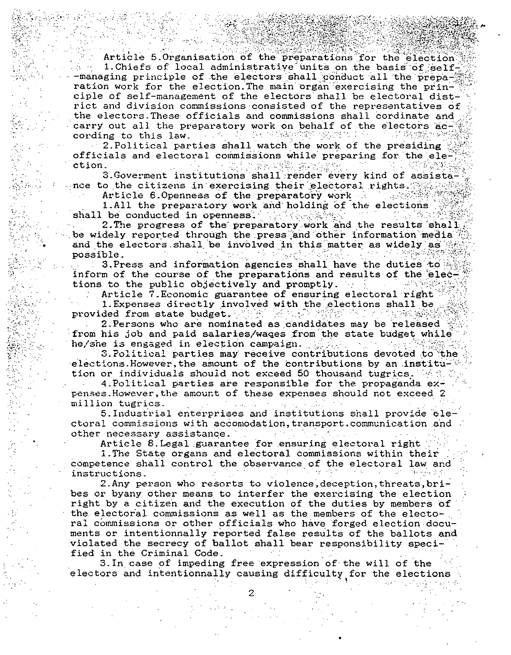Article 5 Organisation of the preparations for the election 1. Chiefs of local administrative units on the basis of self--managing principle of the electors shall conduct all the preparation work for the election. The main organ exercising the principle of self-management of the electors shall be electoral district and division commissions consisted of the representatives of the electors. These officials and commissions shall cordinate and carry out all the preparatory work on behalf of the electors ac- $\sim 10^{12}$  . - 그리 김 사장은 1950년에 2003년 10대 원 cording to this law.

2. Political parties shall watch the work of the presiding officials and electoral commissions while preparing for the election. 이 화도 공동부 결국

3. Goverment institutions shall render every kind of assistance to the citizens in exercising their electoral rights.

Article 6.0penness of the preparatory work

1.All the preparatory work and holding of the elections shall be conducted in openness. 2010년 1월 1일 출발

2. The progress of the preparatory work and the results shall be widely reported through the press and other information media and the electors shall be involved in this matter as widely as possible.  $\mathcal{O}(\mathcal{O}_\mathcal{A})$  $\mathcal{L}^{\text{L}}$  .  $\sim 10^6$ 

3. Press and information agencies shall have the duties to inform of the course of the preparations and results of the elections to the public objectively and promptly.

Article 7. Economic guarantee of ensuring electoral right

1. Expenses directly involved with the elections shall be provided from state budget.

2. Persons who are nominated as candidates may be released from his job and paid salaries/wages from the state budget while he/she is engaged in election campaign. All  $\mathcal{A}_{\mathcal{A}}$  .

3. Political parties may receive contributions devoted to the elections. However, the amount of the contributions by an institution or individuals should not exceed 50 thousand tugrics. We have

4. Political parties are responsible for the propaganda expenses. However, the amount of these expenses should not exceed 2 million tugrics.

5. Industrial enterprises and institutions shall provide electoral commissions with accomodation, transport, communication and other necessary assistance.

Article 8. Legal guarantee for ensuring electoral right

1. The State organs and electoral commissions within their competence shall control the observance of the electoral law and instructions.

2. Any person who resorts to violence, deception, threats, bribes or byany other means to interfer the exercising the election right by a citizen and the execution of the duties by members of the electoral commissions as well as the members of the electoral commissions or other officials who have forged election documents or intentionnally reported false results of the ballots and violated the secrecy of ballot shall bear responsibility specified in the Criminal Code.

3. In case of impeding free expression of the will of the electors and intentionnally causing difficulty for the elections

2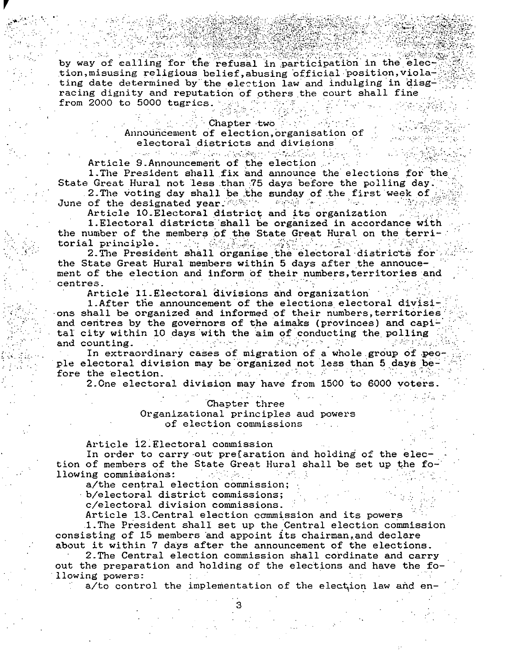by way of calling for the refusal in participation in the election, misusing religious belief, abusing official position, violating date determined by the election law and indulging in disgracing dignity and reputation of others the court shall fine from 2000 to 5000 tugrics.  $\mathbb{R}^n$ 

# Chapter two

Announcement of election, organisation of electoral districts and divisions and we have a straightfully and the complete of the control of the straight of the control of the straight of the straight of the straight of the straight of the straight of the straight of the straight of the straight of

Article 9.Announcement of the election

1. The President shall fix and announce the elections for the State Great Hural not less than 75 days before the polling day. 2. The voting day shall be the sunday of the first week of ောင်းများသည်။ အမျိုးသမီးသ Maria Car

June of the designated year.

Article 10. Electoral district and its organization 1. Electoral districts shall be organized in accordance with the number of the members of the State Great Hural on the territorial principle. And Am American and

2. The President shall organise the electoral districts for the State Great Hural members within 5 days after the annoucement of the election and inform of their numbers, territories and  $\mathcal{L}_{\mathcal{A}}$  is a set of  $\mathcal{L}_{\mathcal{A}}$  . In the set of  $\mathcal{L}_{\mathcal{A}}$ centres.  $\cdots$ 

Article 11. Electoral divisions and organization

1. After the announcement of the elections electoral divisions shall be organized and informed of their numbers, territories and centres by the governors of the aimaks (provinces) and capital city within 10 days with the aim of conducting the polling  $\mathcal{L}^{\text{max}}$ 1919년 2월 10일 - 1919년 1월 1일 - 4월 n Presidenti Albert and counting.

In extraordinary cases of migration of a whole group of people electoral division may be organized not less than 5 days be- $\mathcal{L}^{\mathcal{A}}(\mathcal{A})=\mathcal{L}^{\mathcal{A}}(\mathcal{A})=\mathcal{L}^{\mathcal{A}}(\mathcal{A})=\mathcal{L}^{\mathcal{A}}(\mathcal{A})=\mathcal{L}^{\mathcal{A}}(\mathcal{A})=\mathcal{L}^{\mathcal{A}}(\mathcal{A})$  $\mathcal{L}_{\text{max}}$  , and  $\mathcal{L}_{\text{max}}$ fore the election.

2. One electoral division may have from 1500 to 6000 voters.

# Chapter three

Organizational principles aud powers of election commissions

Article 12. Electoral commission

In order to carry out prefaration and holding of the election of members of the State Great Hural shall be set up the following commissions: 

a/the central election commission;

b/electoral district commissions;

c/electoral division commissions.

Article 13. Central election commission and its powers

1. The President shall set up the Central election commission consisting of 15 members and appoint its chairman, and declare about it within 7 days after the announcement of the elections.

2. The Central election commission shall cordinate and carry out the preparation and holding of the elections and have the following powers:

a/to control the implementation of the election law and en-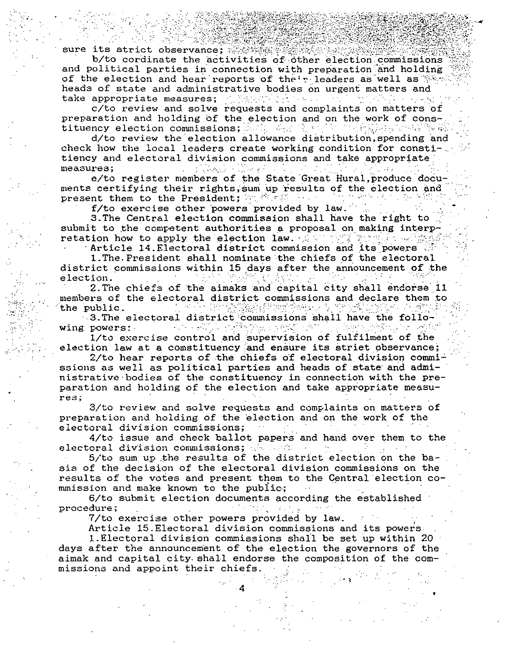sure its strict observance; 《 》

b/to cordinate the activities of other election commissions and political parties in connection with preparation and holding of the election and hear reports of their leaders as well as  $\mathbb{S}$ . heads of state and administrative bodies on urgent matters and take appropriate measures; and have well as the series of the series

c/to review and solve requests and complaints on matters of preparation and holding of the election and on the work of constituency election commissions; Song Cong Respect to the Second and 私 ()。<br>1980年

d/to review the election allowance distribution, spending and check how the local leaders create working condition for constitiency and electoral division commissions and take appropriate measures; 

e/to register members of the State Great Hural, produce documents certifying their rights, sum up results of the election and 동사 동의 사 present them to the President; an example the set وأحدث والمتراث

f/to exercise other powers provided by law.

3. The Central election commission shall have the right to submit to the competent authorities a proposal on making interpretation how to apply the election law. A subset of the solution

Article 14. Electoral district commission and its powers

1. The President shall nominate the chiefs of the electoral district commissions within 15 days after the announcement of the election.

2. The chiefs of the aimaks and capital city shall endorse 11 members of the electoral district commissions and declare them to  $\alpha$  ,  $\beta$  ,  $\beta$  ,  $\beta$  ,  $\beta$  ,  $\beta$ the public.

3. The electoral district commissions shall have the follo-<br>powers: wing powers:

1/to exercise control and supervision of fulfilment of the election law at a comstituency and ensure its striet observance;

2/to hear reports of the chiefs of electoral division commissions as well as political parties and heads of state and administrative bodies of the constituency in connection with the preparation and holding of the election and take appropriate measures;

3/to review and solve requests and complaints on matters of preparation and holding of the election and on the work of the electoral division commissions;

4/to issue and check ballot papers and hand over them to the  $\Delta \mathbf{q} = \mathbf{q}$  . electoral division commissions; where a  $\sim 10^{-1}$ 

5/to sum up the results of the district election on the basis of the decision of the electoral division commissions on the results of the votes and present them to the Central election commission and make known to the public;

6/to submit election documents according the established procedure;

7/to exercise other powers provided by law.

Article 15. Electoral division commissions and its powers.

1. Electoral division commissions shall be set up within 20 days after the announcement of the election the governors of the aimak and capital city shall endorse the composition of the commissions and appoint their chiefs.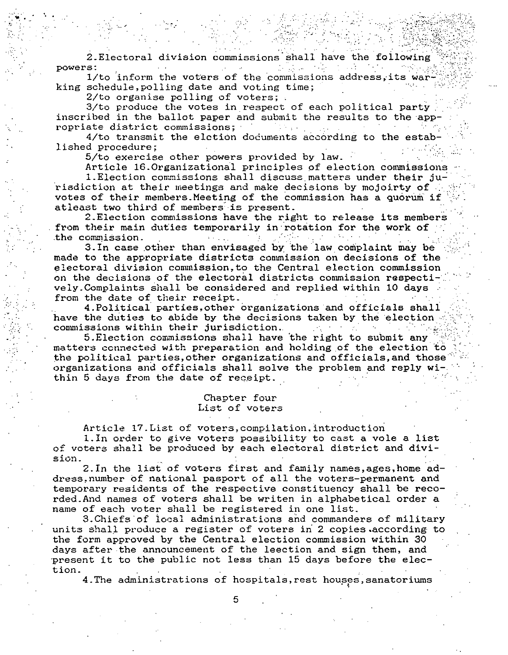2. Electoral division commissions shall have the following powers: 1/to inform the voters of the commissions address its war

king schedule, polling date and voting time;

2/to organise polling of voters; .

3/to produce the votes in respect of each political party inscribed in the ballot paper and submit the results to the appropriate district commissions;

4/to transmit the elction documents according to the established procedure:

5/to exercise other powers provided by law.

Article 16.Organizational principles of election commissions

1. Election commissions shall discuss matters under their jurisdiction at their meetings and make decisions by mojoirty of votes of their members. Meeting of the commission has a quorum if atleast two third of members is present.

2. Election commissions have the right to release its members from their main duties temporarily in rotation for the work of the commission.  $\mathcal{L}(\mathcal{L}^{(1)},\mathcal{L}^{(2)})$ 

3. In case other than envisaged by the law complaint may be made to the appropriate districts commission on decisions of the electoral division commission, to the Central election commission on the decisions of the electoral districts commission respectively. Complaints shall be considered and replied within 10 days from the date of their receipt.

4. Political parties, other organizations and officials shall have the duties to abide by the decisions taken by the election. commissions within their jurisdiction.

5. Election commissions shall have the right to submit any matters connected with preparation and holding of the election to the political parties, other organizations and officials, and those organizations and officials shall solve the problem and reply within 5 days from the date of receipt.

# Chapter four List of voters

Article 17. List of voters, compilation, introduction

1. In order to give voters possibility to cast a vole a list of voters shall be produced by each electoral district and division.

2. In the list of voters first and family names, ages, home address, number of national pasport of all the voters-permanent and temporary residents of the respective constituency shall be recorded. And names of voters shall be writen in alphabetical order a name of each voter shall be registered in one list.

3. Chiefs of local administrations and commanders of military units shall produce a register of voters in 2 copies according to the form approved by the Central election commission within 30 days after the announcement of the leection and sign them, and present it to the public not less than 15 days before the election.

4. The administrations of hospitals, rest houses, sanatoriums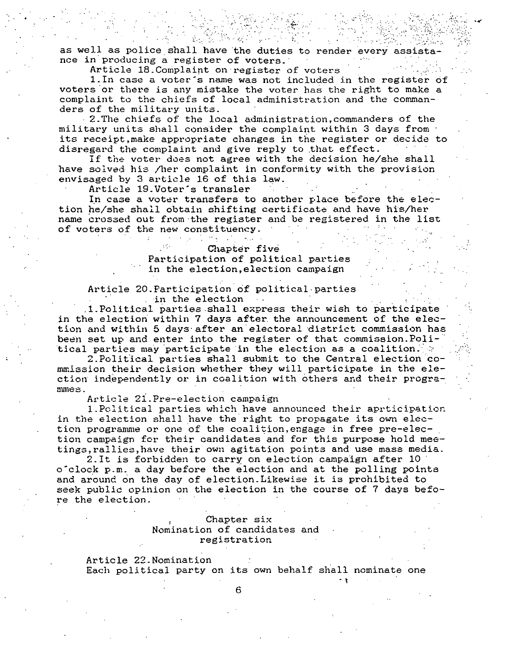as well as police shall have the duties to render every assistance in'producing a register of voters.

. , ... .. . .'r:-; .. : ....

**Contract Contract** 

.... **. ""** 

Article 18. Complaint on register of voters

 $\cdot$  .  $\mathcal{L}_{\rm eff}$ 

. In the set of  $\mathcal{L}_\mathcal{I}$ 

1.In case a voter's name was not included in the register of voters 'or there is any mistake the voter has the right to make a complaint to the chiefs of local administration and the commanders of the military units.

2.The chiefs of the local administration,commanders of the military units shall consider the complaint within 3 days from its receipt,make appropriate changes in the register or decide to disregard the complaint and give reply to that effect.

If the voter does not agree with the decision he/she shall have solved his /her complaint in conformity with the provision envisaged by 3 article 16 of this law.

Article 19.Voter's transler

In case a voter transfers to another place before the election he/she shall obtain shifting certificate and have his/her name crossed out from the register and be registered in the list of voters of the new constituency.

# Chapter five

 $\sim$  . The second constraints of  $\sim$ 

# Participation of political parties in the election, election campaign

#### Article 20. Participation of political parties in the election  $\sim 10$   $\mu$

 $1.P$ olitical parties shall express their wish to participate in the election within 7 days after, the announcement of the election and within 5 days after an electoral district commission has been set up and enter into the register of that commission. Political parties may participate in the election as a coalition.  $\cdot$ 

2. Political parties shall submit to the Central election commission their decision whether they will participate in the election independently or in coalition with others and their progra**mmes.** 

Article 21. Pre-election campaign

1. Political parties which have announced their aprticipation. in the election shall have the right to propagate its own election programme or one of the coalition, engage in free pre-election campaign for their candidates and for this purpose hold meetings,rallies,have their own agitation points and use mass media.

2.It is forbidden to carry on election campaign after 10 o'clock p.m. a day before the election and at the polling points and around on the day of election. Likewise it is prohibited to seek public opinion on the election in the course of 7 days before the election.

# Chapter six Nomination of candidates and registration

Article 22.Nomination Each political party on its own behalf shall nominate one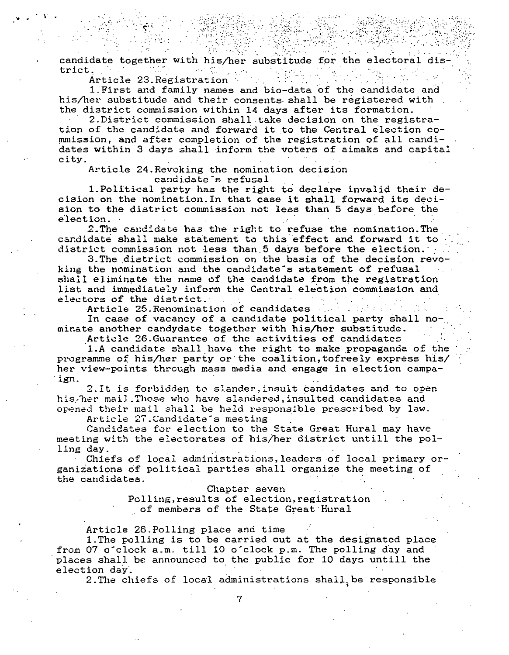candidate together with his/her substitude for the electoral district.

Article 23. Registration

1. First and family names and bio-data of the candidate and his/her substitude and their consents shall be registered with the district commission within 14 days after its formation.

2. District commission shall take decision on the registration of the candidate and forward it to the Central election commission, and after completion of the registration of all candidates within 3 days shall inform the voters of aimaks and capital city.

Article 24. Revoking the nomination decision candidate's refusal

1. Political party has the right to declare invalid their decision on the nomination. In that case it shall forward its decision to the district commission not less than 5 days before the election.

2. The candidate has the right to refuse the nomination. The candidate shall make statement to this effect and forward it to district commission not less than 5 days before the election.

3. The district commission on the basis of the decision revoking the nomination and the candidate's statement of refusal shall eliminate the name of the candidate from the registration list and immediately inform the Central election commission and electors of the district.

Article 25. Renomination of candidates

In case of vacancy of a candidate political party shall nominate another candydate together with his/her substitude.

Article 26. Guarantee of the activities of candidates

1.A candidate shall have the right to make propaganda of the programme of his/her party or the coalition, tofreely express his/ her view-points through mass media and engage in election campaign.

2. It is forbidden to slander, insult candidates and to open histher mail. Those who have slandered, insulted candidates and opened their mail shall be held responsible prescribed by law.

Article 27. Candidate's meeting

Candidates for election to the State Great Hural may have meeting with the electorates of his/her district untill the polling day.

Chiefs of local administrations, leaders of local primary organizations of political parties shall organize the meeting of the candidates.

Chapter seven

Polling, results of election, registration of members of the State Great Hural

Article 28. Polling place and time

1. The polling is to be carried out at the designated place from 07 o'clock a.m. till 10 o'clock p.m. The polling day and places shall be announced to the public for 10 days untill the election day.

2. The chiefs of local administrations shall, be responsible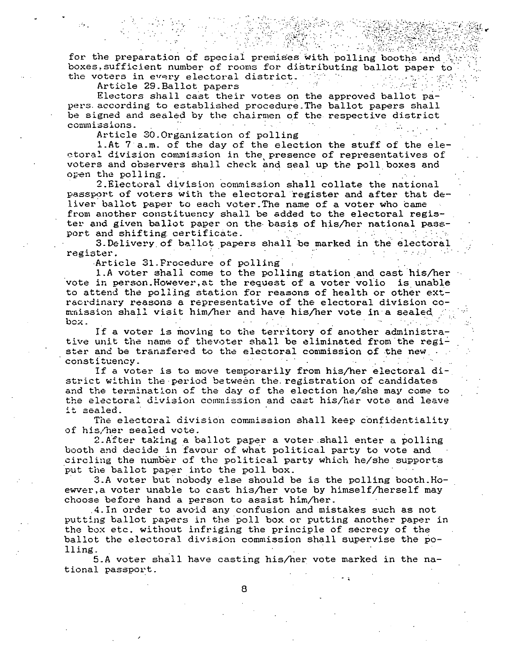for the preparation of special premises with polling booths and boxes, sufficient number of rooms for distributing ballot paper to the voters in every electoral district.

 $\mathcal{L}(\mathcal{L})$  and  $\mathcal{L}(\mathcal{L})$  . In

Article 29. Ballot papers

Electors shall cast their votes on the approved ballot papers according to established procedure. The ballot papers shall be signed and sealed by the chairmen of the respective district commissions.

Article 30.Organization of polling

1.At 7 a.m. of the day of the election the stuff of the electoral division commission in the presence of representatives of voters and observers shall check and seal up the poll boxes and open the polling.

2. Electoral division commission shall collate the national passport of voters with the electoral register and after that deliver ballot paper to each voter. The name of a voter who came from another constituency shall be added to the electoral register and given ballot paper on the basis of his/her national passport and shifting certificate.

3. Delivery of ballot papers shall be marked in the electoral register.

Article 31. Procedure of polling

1.A voter shall come to the polling station and cast his/her vote in person. However, at the request of a voter volio is unable to attend the polling station for reasons of health or other extracrdinary reasons a representative of the electoral division commission shall visit him/her and have his/her vote in a sealed box.

If a voter is moving to the territory of another administrative unit the name of thevoter shall be eliminated from the register and be transfered to the electoral commission of the new and constituency.

If a voter is to move temporarily from his/her electoral district within the period between the registration of candidates and the termination of the day of the election he/she may come to the electoral division commission and cast his/her vote and leave it sealed.

The electoral division commission shall keep confidentiality of his/her sealed vote.

2. After taking a ballot paper a voter shall enter a polling booth and decide in favour of what political party to vote and circling the number of the political party which he/she supports put the ballot paper into the poll box.

3.A voter but nobody else should be is the polling booth. Hoewver, a voter unable to cast his/her vote by himself/herself may choose before hand a person to assist him/her.

4. In order to avoid any confusion and mistakes such as not putting ballot papers in the poll box or putting another paper in the box etc. without infriging the principle of secrecy of the ballot the electoral division commission shall supervise the polling.

5.A voter shall have casting his/her vote marked in the national passport.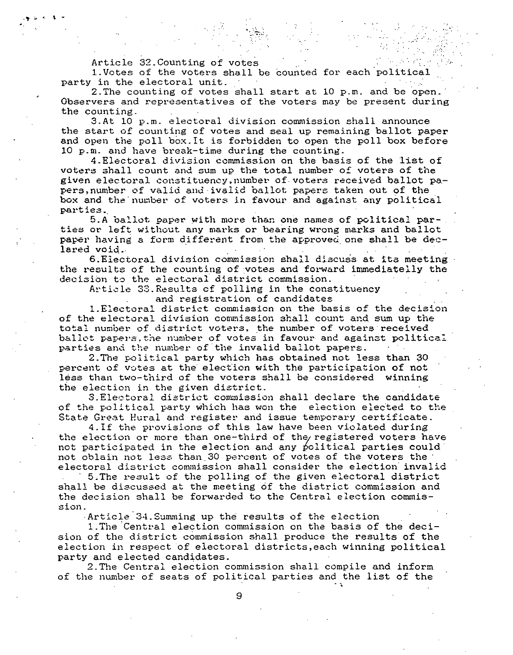Article 32. Counting of votes

.

.<br>بالا الم التال**ي**.

1.Votes of the voters shall be counted for each 'political party in the electoral unit.

2.The counting of votes shall start at 10 p.m. and be open.' Observers and representatives of the voters may be present during the counting.

",  $~\cdots$  ,

 $:$   $\cdot$   $\cdot$ 

3.At 10 p.m. electoral division commission shall announce the start of counting of votes and seal up remaining ballot paper and open the poll box.It is forbidden to open the poll box before 10 p.m. and have break-time during the counting.

4. Electoral division commission on the basis of the list of voters shall count and sum up the total number of voters of the given electoral constituency, number of voters received ballot papers, number of valid and ivalid ballot papers taken out of the box and the number of voters in favour and against any political parties.,

5.A ballot paper with more than one names of political parties or left without any marks or bearing wrong marks and ballot ties or left without any marks or bearing wrong marks and ballot<br>paper having a form different from the approved one shall be dec-<br>lared void. lared void.<br>6.Electoral division commission shall discuss at its meeting

the results of the counting of votes and forward immediatelly the decision to the electoral district commission.

Article 33. Results of polling in the constituency and registration of candidates

I.Electoral district commissicn on the basis of the decision of the electoral division commission shall count and sum up the total number of district voters, the number of voters received ballot papers the number of votes in favour and against political parties and the number of the invalid ballot papers.

2.The political party which has obtained not less than 30 percent of votes at the election with the participation of not less than two-third of the voters shall be considered winning the election in the given district.

3. Electoral district commission shall declare the candidate of the political party which has won the election elected to the State Great Hural and register and issue temporary certificate.

4.If the provisions of this law have been violated during the election or more than one-third of the registered voters have not participated in the election and any political parties could not oblain not less than 30 percent of votes of the voters the electoral district commission shall consider the election invalid

, 5.The result of the polling of the given electoral district shall be discussed at the meeting of the district commission and the decision shall be forwarded to the Central election commission.

Article"34.Summing up the results of the election

1. The Central election commission on the basis of the decision of the district commission shall produce the results of the election in respect of electoral districts, each winning political party and elected candidates.

2.The Central election commission shall compile and inform of the number of seats of political parties and the list of the